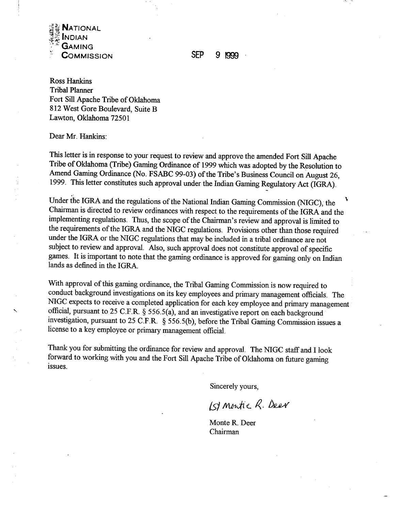

**SEP** 9 1999

Ross Hankins Tribal Planner Fort Sill Apache Tribe of Oklahoma 8 12 West Gore Boulevard, Suite B Lawton, Oklahoma 72501

Dear Mr. Hankins:

This letter is in response to your request to review and approve the amended Fort **Sill** Apache Tribe of Oklahoma (Tribe) Gaming Ordinance of 1999 which was adopted by the Resolution to Amend Gaming Ordinance (No. FSABC 99-03) of the Tribe's Business Council on August 26, 1999. This letter constitutes such approval under the Indian Gaming Regulatory Act (IGRA).

Under the IGRA and the regulations of the National Indian Gaming Commission (NIGC), the **<sup>5</sup>** Chairman is directed to review ordinances with respect to the requirements of the IGRA and the implementing regulations. Thus, the scope of the Chairman's review and approval is limited to the requirements of the IGRA and the NIGC regulations. Provisions other than those required under the IGRA or the NIGC regulations that may be included in a tribal ordinance are not subject to review and approval. Also, such approval does not constitute approval of specific games. It is important to note that the gaming ordinance is approved for gaming only on Indian lands as defined in the IGRA.

With approval of this gaming ordinance, the Tribal Gaming Commission is now required to conduct background investigations on its key employees and primary management officials.. The NIGC expects to receive a completed application for each key employee and primary management official, pursuant to 25 C.F.R. § 556.5(a), and an investigative report on each background investigation, pursuant to 25 C.F.R. *3* 556.5(b), before the Tribal Gaming Commission issues a license to a key employee or primary management official.

Thank you for submitting the ordinance for review and approval. The NIGC staff and I look forward to working with you and the Fort Sill Apache Tribe of Oklahoma on future gaming issues.

Sincerely yours,

[S] Montie R. Deer

Monte R. Deer Chairman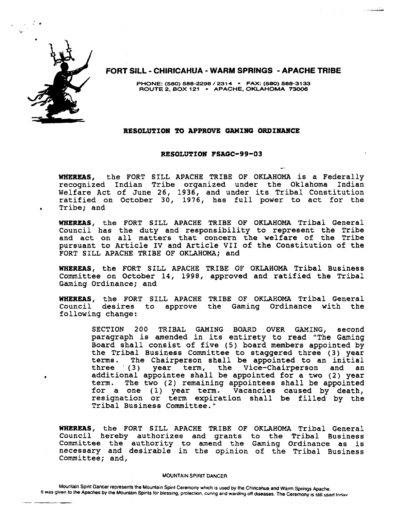

, . **.I.** 

**FORT SILL** - **CHlRlCAHUA** - **WARM SPRINGS** - **APACHE TRIBE** 

**PHONE: (580) 588-2298** / **231 4** - **FAX: (580) 588-31 33 ROUTE 2. BOX 121 APACHE. OKLAHOMA 73006** 

#### RESOLUTION TO **APPROVE** GAMING ORDINANCE

#### RESOLUTION FSAGC-99-03

. .

فتكرس والمناور

WHEREAS, the FORT SILL APACHE TRIBE OF OKLAHOMA is a Federally recognized Indian Tribe organized under the Oklahoma Indian Welfare Act of June 26, 1936, and under its Tribal Constitution ratified on October 30, 1976, has full power to act for the **<sup>e</sup>**Tribe; and

WHEREAS, the FORT SILL APACHE TRIBE OF OKLAHOMA Tribal General Council has the duty and responsibility to represent the Tribe and act on all matters that concern the welfare of the Tribe pursuant to Article IV and Article VII of the Constitution of the FORT SILL APACHE TRIBE OF OKLAHOMA; and

WHEREAS, the FORT SILL APACHE TRIBE OF OKLAHOMA Tribal Business Committee on October 14, 1998, approved and ratified the Tribal Gaming Ordinance; and

WHEREAS, the FORT SILL APACHE TRIBE OF OKLAHOMA Tribal General<br>Council desires to approve the Gaming Ordinance with the Council desires to following change:

> SECTION 200 TRIBAL GAMING BOARD OVER GAMING, second paragraph is amended in its entirety to read "The Gaming Board shall consist of five (5) board members appointed by the Tribal Business Committee to staggered three (3) year terms. The Chairperson shall be appointed to an initial<br>three (3) year term, the Vice-Chairperson and an year term, the Vice-Chairperson and an additional appointee shall be appointed for a two (2) year term. The two (2) remaining appointees shall be appointed for a one (1) year term. Vacancies caused by death, resignation or term expiration shall be filled by the Tribal Business Committee."

WHEREAS, the FORT SILL APACHE TRIBE OF OKLAHOMA Tribal General Council hereby authorizes and grants to the Tribal Business Committee the authority to amend the Gaming Ordinance as is necessary and desirable in the opinion of the Tribal Business Committee; and,

#### **MOUNTAIN SPIRIT DANCER**

Mountain Spint Dancer represents the Mountain Spirit Ceremony which is used by the Chiricahua and Warm Springs Apache. It was given to the Apaches by the Mountain Spirits for blessing, protection, curing and warding off diseases. The Ceremony is still used toriav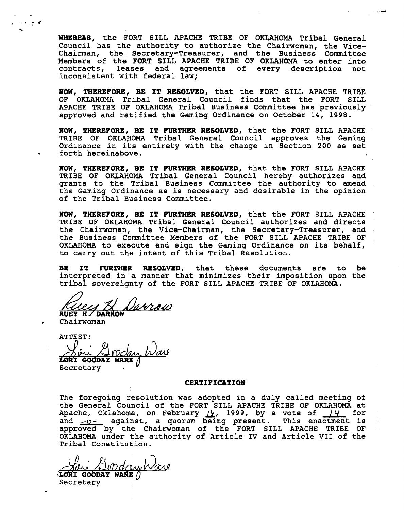WHEREAS, the FORT SILL APACHE TRIBE OF OKLAHOMA Tribal General Council has the authority to authorize the Chairwoman, the Vice-Chairman, the Secretary-Treasurer, and the Business Committee Members of the FORT SILL APACHE TRIBE OF OKLAHOMA to enter into contracts, leases and agreements of every description not inconsistent with federal law;

**HOW,** THEREFORE, BE IT RESOLVED, that the FORT SILL APACHE TRIBE OF OKLAHOMA Tribal General Council finds that the FORT SILL APACHE TRIBE OF OKLAHOMA Tribal Business Committee has previously approved and ratified the Gaming Ordinance on October 14, 1998.

#OW, THEREFORE, BE IT FURTHER RESOLVED, that the FORT SILL APACHE TRIBE OF OKLAHOMA Tribal General Council approves the Gaming Ordinance in its entirety with the change in Section 200 as set forth hereinabove.

HOW, THEREFORE, BE IT FURTHER RESOLVED, that the FORT SILL APACHE TRIBE OF OKLAHOMA Tribal General Council hereby authorizes and grants to the Tribal Business Committee the authority to amend the Gaming Ordinance as is necessary and desirable in the opinion of the Tribal Business Committee.

**NOW,** THEREFORE, BE IT FURTHER RESOLVED, that the FORT SILL APACHE TRIBE OF OKLAHOMA Tribal General Council authorizes and directs the Chairwoman, the Vice-Chairman, the Secretary-Treasurer, and : the Business Committee Members of the FORT SILL APACHE TRIBE OF OKLAHOMA to execute and sign the Gaming Ordinance on its behalf, to carry out the intent of this Tribal Resolution.

BE IT FURTHER RESOLVED, that these documents are to be interpreted in a manner that minimizes their imposition upon the tribal sovereignty of the FORT SILL APACHE TRIBE OF OKLAHOMA.

Danrow

RUEY H / DARROW<br>Chairwoman

, 3. **-6**   $\ddot{\phantom{0}}$ 

ATTEST: <u>Adu Avosa</u>

**Secretary** 

#### CERTIFICATION

The foregoing resolution was adopted in a duly called meeting of the General Council of the FORT SILL APACHE TRIBE OF OKLAHOMA at the General Council of the FORT SILL APACHE TRIBE OF OKLAHOMA at Apache, Oklahoma, on February  $\mu$ , 1999, by a vote of  $\mu$  for and  $y-z$  against, a quorum being present. This enactment is approved by the Chairwoman of the FORT SILL APACHE TRIBE OF OKLAHOMA under the authority of Article IV and Article VII of the Tribal Constitution.

DdawWare *<u>VORI GOODAY WARE</u>*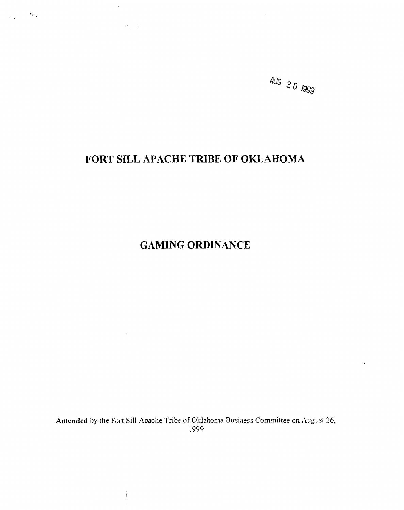

# **FORT SILL APACHE TRIBE OF OKLAHOMA**

 $\ddot{\phantom{a}}$ 

 $\langle \cdot, \cdot \rangle$  ).

 $\varphi_{\rm{eff}}=2\lambda_{\rm{B}}$ 

**GAMING ORDINANCE** 

**Amended** by the Fort Sill Apache Tribe of Oklahoma Business Committee on August 26, 1999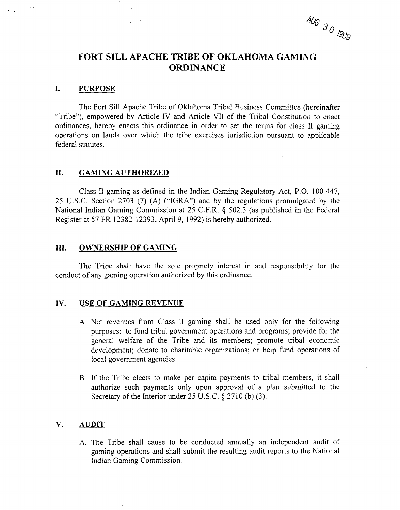AUG 30 1900

## **FORT SILL APACHE TRIBE OF OKLAHOMA GAMING ORDINANCE**

#### **I. PURPOSE**

 $\mathbf{A}(\mathbf{x})$ 

The Fort Sill Apache Tribe of Oklahoma Tribal Business Committee (hereinafter "Tribe"), empowered by Article IV and Article VII of the Tribal Constitution to enact ordinances, hereby enacts this ordinance in order to set the terms for class I1 gaming operations on lands over which the tribe exercises jurisdiction pursuant to applicable federal statutes.

### **11. GAMING AUTHORIZED**

 $\sqrt{2}$ 

Class I1 gaming as defined in the Indian Gaming Regulatory Act, P.O. 100-447, 25 U.S.C. Section 2703 (7) **(A)** ("IGRA") and by the regulations promulgated by the National Indian Gaming Commission at 25 C.F.R. § 502.3 (as published in the Federal Register at 57 FR 12382-12393, April 9, 1992) is hereby authorized.

#### **111. OWNERSHIP OF GAMING**

The Tribe shall have the sole propriety interest in and responsibility for the conduct of any gaming operation authorized by this ordinance.

#### **IV. USE OF GAMING REVENUE**

- A. Net revenues from Class I1 gaming shall be used only for the following purposes: to fund tribal government operations and programs; provide for the general welfare of the Tribe and its members; promote tribal economic development; donate to charitable organizations; or help fund operations of local government agencies.
- B. If the Tribe elects to make per capita payments to tribal members, it shall authorize such payments only upon approval of a plan submitted to the Secretary of the Interior under  $25$  U.S.C.  $\S 2710$  (b) (3).

### **V. AUDIT**

A. The Tribe shall cause to be conducted annually an independent audit of gaming operations and shall submit the resulting audit reports to the National Indian Gaming Commission.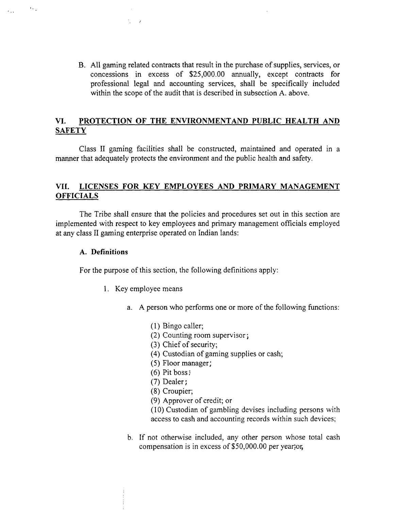B. All gaming related contracts that result in the purchase of supplies, services, or concessions in excess of \$25,000.00 annually, except contracts for professional legal and accounting services, shall be specifically included within the scope of the audit that is described in subsection A. above.

## **VI. PROTECTION OF THE ENVIRONMENTAND PUBLIC HEALTH AND SAFETY**

Class I1 gaming facilities shall be constructed, maintained and operated in a manner that adequately protects the environment and the public health and safety.

### **VII. LICENSES FOR KEY EMPLOYEES AND PRIMARY MANAGEMENT OFFICIALS**

The Tribe shall ensure that the policies and procedures set out in this section are implemented with respect to key employees and primary management officials employed at any class I1 gaming enterprise operated on Indian lands:

### **A. Definitions**

 $\Delta\sim 10$ 

 $\epsilon_{\rm{max}}$ 

For the purpose of this section, the following definitions apply:

- 1. Key employee means
	- a. A person who performs one or more of the following functions:
		- (1) Bingo caller;
		- (2) Counting room supervisor ;
		- (3) Chief of security;
		- (4) Custodian of gaming supplies or cash;
		- (5) Floor manager;
		- (6) Pit boss **<sup>r</sup>**
		- (7) Dealer;
		- (8) Croupier;
		- (9) Approver of credit; or

(10) Custodian of gambling devises including persons with access to cash and accounting records within such devices;

b. If not otherwise included, any other person whose total cash compensation is in excess of \$50,000.00 per year;or,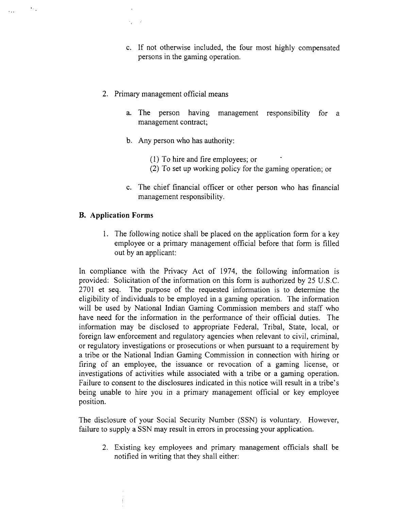- c. If not otherwise included, the four most highly compensated persons in the gaming operation.
- 2. Primary management official means
	- a. The person having management responsibility for a management contract;
	- b. Any person who has authority:
		- (1) To hire and fire employees; or
		- (2) To set up working policy for the gaming operation; or
	- c. The chief financial officer or other person who has financial management responsibility.

### **B. Application Forms**

 $\mathcal{F}_{\mathcal{F}_{\mathcal{A}}}$ 

 $\mathbf{r}$  ,  $\mathbf{r}$ 

1. The following notice shall be placed on the application form for a key employee or a primary management official before that form is filled out by an applicant:

In compliance with the Privacy Act of 1974, the following information is provided: Solicitation of the information on this form is authorized by *25* U.S.C. 2701 et seq. The purpose of the requested information is to determine the eligibility of individuals to be employed in a gaming operation. The information will be used by National Indian Gaming Commission members and staff who have need for the information in the performance of their official duties. The information may be disclosed to appropriate Federal, Tribal, State, local, or foreign law enforcement and regulatory agencies when relevant to civil, criminal, or regulatory investigations or prosecutions or when pursuant to a requirement by a tribe or the National Indian Gaming Commission in connection with hiring or firing of an employee, the issuance or revocation of a gaming license, or investigations of activities while associated with a tribe or a gaming operation. Failure to consent to the disclosures indicated in this notice will result in a tribe's being unable to hire you in a primary management official or key employee position.

The disclosure of your Social Security Number (SSN) is voluntary. However, failure to supply a SSN may result in errors in processing your application.

2. Existing key employees and primary management officials shall be notified in writing that they shall either: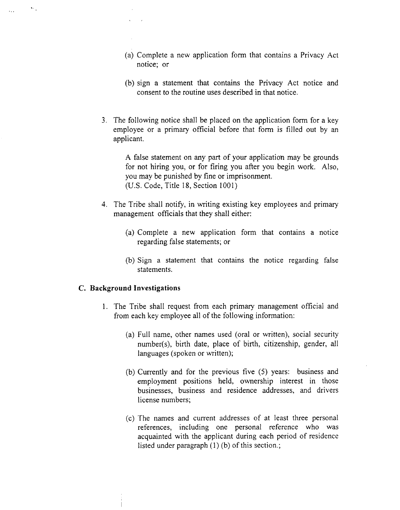- (a) Complete a new application form that contains a Privacy Act notice; or
- (b) sign a statement that contains the Privacy Act notice and consent to the routine uses described in that notice.
- 3. The following notice shall be placed on the application forrn for a key employee or a primary official before that forrn is filled out by an applicant.

A false statement on any part of your application may be grounds for not hiring you, or for firing you after you begin work. Also, you may be punished by fine or imprisonment. (U.S. Code, Title 18, Section 1001)

- 4. The Tribe shall notify, in writing existing key employees and primary management officials that they shall either:
	- (a) Complete a new application form that contains a notice regarding false statements; or
	- (b) Sign a statement that contains the notice regarding false statements.

#### **C. Background Investigations**

 $\bullet$  .

 $\mathbf{r}$ 

- 1. The Tribe shall request from each primary management official and from each key employee all of the following information:
	- (a) Full name, other names used (oral or written), social security number(s), birth date, place of birth, citizenship, gender, all languages (spoken or written);
	- (b) Currently and for the previous five *(5)* years: business and employment positions held, ownership interest in those businesses, business and residence addresses, and drivers license numbers;
	- (c) The names and current addresses of at least three personal references, including one personal reference who was acquainted with the applicant during each period of residence listed under paragraph (1) (b) of this section.;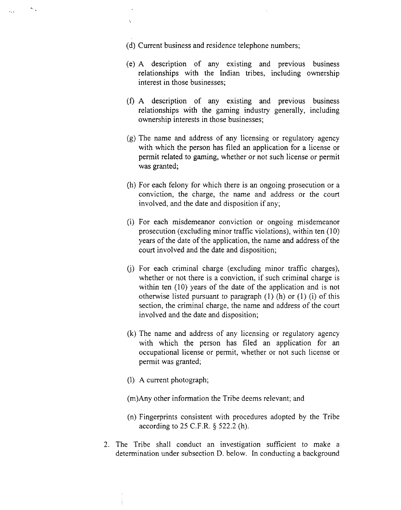(d) Current business and residence telephone numbers;

 $\bullet_{\rm 0.1}$ 

 $\ddot{\phantom{a}}$ 

- (e) A description of any existing and previous business relationships with the Indian tribes, including ownership interest in those businesses;
- **(f) A** description of any existing and previous business relationships with the gaming industry generally, including ownership interests in those businesses;
- (g) The name and address of any licensing or regulatory agency with which the person has filed an application for a license or permit related to gaming, whether or not such license or permit was granted;
- (h) For each felony for which there is an ongoing prosecution or a conviction, the charge, the name and address or the court involved, and the date and disposition if any;
- (i) For each misdemeanor conviction or ongoing misdemeanor prosecution (excluding minor traffic violations), within ten (10) years of the date of the application, the name and address of the court involved and the date and disposition;
- (i) For each criminal charge (excluding minor traffic charges), whether or not there is a conviction, if such criminal charge is within ten (10) years of the date of the application and is not otherwise listed pursuant to paragraph  $(1)$  (h) or  $(1)$  (i) of this section, the criminal charge, the name and address of the court involved and the date and disposition;
- (k) The name and address of any licensing or regulatory agency with which the person has filed an application for an occupational license or permit, whether or not such license or permit was granted;
- (1) A current photograph;
- (m)Any other information the Tribe deems relevant; and
- (n) Fingerprints consistent with procedures adopted by the Tribe according to 25 C.F.R. *5* 522.2 (h).
- 2. The Tribe shall conduct an investigation sufficient to make a determination under subsection D. below. In conducting a background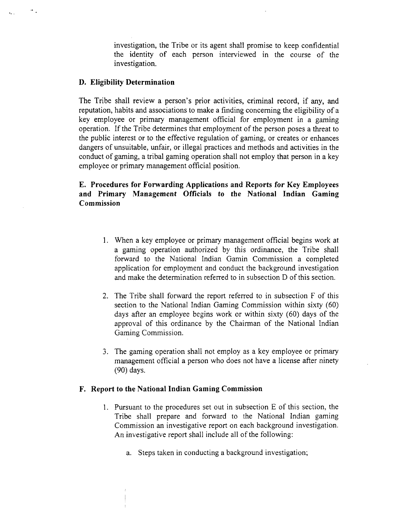investigation, the Tribe or its agent shall promise to keep confidential the identity of each person interviewed in the course of the investigation.

#### **D. Eligibility Determination**

 $\sigma_{\rm eff}$ 

The Tribe shall review a person's prior activities, criminal record, if any, and reputation, habits and associations to make a finding concerning the eligibility of a key employee or primary management official for employment in a gaming operation. If the Tribe determines that employment of the person poses a threat to the public interest or to the effective regulation of gaming, or creates or enhances dangers of unsuitable, unfair, or illegal practices and methods and activities in the conduct of gaming, a tribal gaming operation shall not employ that person in a key employee or primary management official position.

### **E. Procedures for Forwarding Applications and Reports for Key Employees and Primary Management Officials to the National Indian Gaming Commission**

- 1. When a key employee or primary management official begins work at a gaming operation authorized by this ordinance, the Tribe shall forward to the National Indian Gamin Commission a completed application for employment and conduct the background investigation and make the determination referred to in subsection D of this section.
- 2. The Tribe shall forward the report referred to in subsection F of this section to the National Indian Gaming Commission within sixty (60) days after an employee begins work or within sixty (60) days of the approval of this ordinance by the Chairman of the National Indian Gaming Commission.
- 3. The gaming operation shall not employ as a key employee or primary management official a person who does not have a license after ninety (90) days.

#### **F. Report to the National Indian Gaming Commission**

- 1. Pursuant to the procedures set out in subsection E of this section, the Tribe shall prepare and forward to the National Indian gaming Commission an investigative report on each background investigation. An investigative report shall include all of the following:
	- a. Steps taken in conducting a background investigation;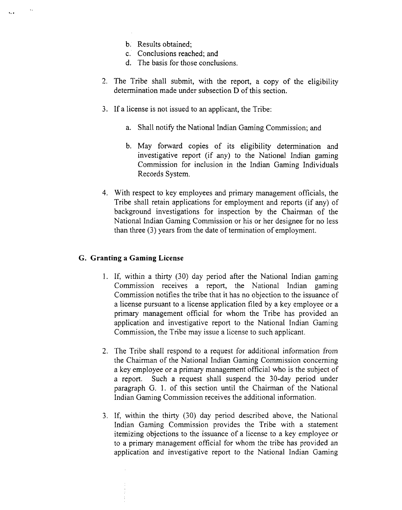b. Results obtained;

 $\ddot{\phantom{a}}$ 

- c. Conclusions reached; and
- d. The basis for those conclusions.
- 2. The Tribe shall submit, with the report, a copy of the eligibility determination made under subsection D of this section.
- 3. If a license is not issued to an applicant, the Tribe:
	- a. Shall notify the National Indian Gaming Commission; and
	- b. May forward copies of its eligibility determination and investigative report (if any) to the National Indian gaming Commission for inclusion in the Indian Gaming Individuals Records System.
- 4. With respect to key employees and primary management officials, the Tribe shall retain applications for employment and reports (if any) of background investigations for inspection by the Chairman of the National Indian Gaming Commission or his or her designee for no less than three (3) years from the date of termination of employment.

### **G. Granting a Gaming License**

- **1.** If, within a thirty (30) day period after the National Indian gaming Commission receives a report, the National Indian gaming Commission notifies the tribe that it has no objection to the issuance of a license pursuant to a license application filed by a key employee or a primary management official for whom the Tribe has provided an application and investigative report to the National Indian Gaming Commission, the Tribe may issue a license to such applicant.
- 2. The Tribe shall respond to a request for additional information from the Chairman of the National Indian Gaming Commission concerning a key employee or a primary management official who is the subject of a report. Such a request shall suspend the 30-day period under paragraph G. 1. of this section until the Chairman of the National Indian Gaming Commission receives the additional information.
- 3. If, within the thirty (30) day period described above, the National Indian Gaming Commission provides the Tribe with a statement itemizing objections to the issuance of a license to a key employee or to a primary management official for whom the tribe has provided an application and investigative report to the National Indian Gaming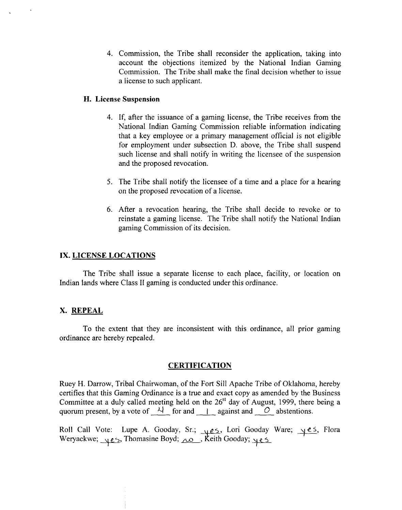4. Commission, the Tribe shall reconsider the application, taking into account the objections itemized by the National Indian Gaming Commission. The Tribe shall make the final decision whether to issue a license to such applicant.

### **H. License Suspension**

- 4. If, after the issuance of a gaming license, the Tribe receives from the National Indian Gaming Commission reliable information indicating that a key employee or a primary management official is not eligible for employment under subsection D. above, the Tribe shall suspend such license and shall notify in writing the licensee of the suspension and the proposed revocation.
- 5. The Tribe shall notify the licensee of a time and a place for a hearing on the proposed revocation of a license.
- 6. After a revocation hearing, the Tribe shall decide to revoke or to reinstate a gaming license. The Tribe shall notify the National Indian gaming Commission of its decision.

### **IX. LICENSE LOCATIONS**

The Tribe shall issue a separate license to each place, facility, or location on Indian lands where Class I1 gaming is conducted under this ordinance.

### **X. REPEAL**

To the extent that they are inconsistent with this ordinance, all prior gaming ordinance are hereby repealed.

#### **CERTIFICATION**

Ruey H. Darrow, Tribal Chairwoman, of the Fort Sill Apache Tribe of Oklahoma, hereby certifies that this Gaming Ordinance is a true and exact copy as amended by the Business Committee at a duly called meeting held on the 26<sup>st</sup> day of August, 1999, there being a Ruey H. Darrow, Tribal Chairwoman, of the Fort Sill Apache Tribe of Oklahoma<br>certifies that this Gaming Ordinance is a true and exact copy as amended by the I<br>Committee at a duly called meeting held on the 26<sup>st</sup> day of A

Roll Call Vote: Lupe A. Gooday, Sr.; <u>405</u>, Lori Gooday Ware; <u>405</u>, Flora<br>Weryackwe; 405, Thomasine Boyd; <u>10</u>, Keith Gooday; 405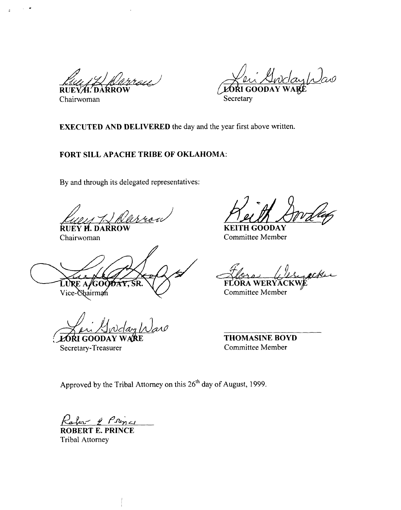**RUE** Chairwoman Secretary

aylas LORI GOOD

**EXECUTED AND DELIVERED** the day and the year first above written.

### **FORT SILL APACHE TRIBE OF OKLAHOMA:**

By and through its delegated representatives:

**RUEY PARROW KEITH GOODAY** 

LURE A/GOC бÀУ. ŚR. Vice-Chairman

 $A$ wday Waro **LORI GOODAY** 

Secretary-Treasurer

Chairwoman Committee Member

FLORA WERYACKWE Committee Member

**THOMASINE BOYD**  Committee Member

Approved by the Tribal Attorney on this 26'h day of August, 1999.

**g&.%J** y *P%L,* 

**ROBERT E. PRINCE**  Tribal Attorney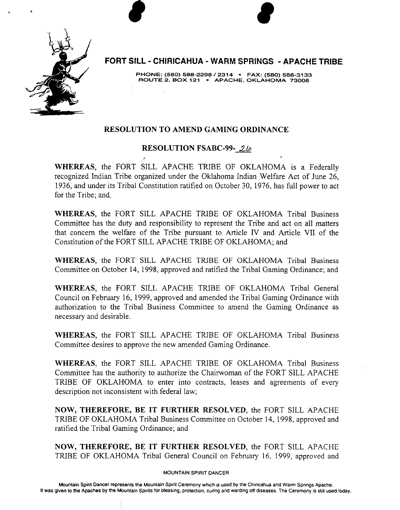

**FORT SILL** - **CHlRlCAHUA** - **WARM SPRINGS** - **APACHE TRIBE** 

**PHONE: (580) 588-2298** / **2314 FAX: (580) 588-31 33 ROUTE 2. BOX 121** - **APACHE. OKLAHOMA 73006** 

## **RESOLUTION TO AMEND GAMING ORDINANCE**

## **RESOLUTION FSABC-99- 26**

**7** 

**WHEREAS,** the FORT SILL APACHE TRIBE OF OKLAHOMA is a Federally recognized Indian Tribe organized under the Oklahoma Indian Welfare Act of June **26, 1936,** and under its Tribal Constitution ratified on October 30, **1976,** has full power to act for the Tribe; and.

**WHEREAS,** the FORT SILL APACHE TRIBE OF OKLAHOMA Tribal Business Committee has the duty and responsibility to represent the Tribe and act on all matters that concern the welfare of the Tribe pursuant to Article IV and Article VII of the Constitution of the FORT SILL APACHE TRIBE OF OKLAHOMA; and

**WHEREAS,** the FORT **SILL** APACHE TRIBE OF OKLAHOMA Tribal Business Committee on October **14, 1998,** approved and ratified the Tribal Gaming Ordinance; and

**WHEREAS,** the FORT SILL APACHE TRIBE OF OKLAHOMA Tribal General Council on February **16, 1999,** approved and amended the Tribal Gaming Ordinance with authorization to the Tribal Business Committee to amend the Gaming Ordinance as necessary and desirable.

**WHEREAS,** the FORT **SILL** APACHE TRIBE OF OKLAHOMA Tribal Business Committee desires to approve the new amended Gaming Ordinance.

**WHEREAS:** the FORT SILL APACHE TRIBE OF OKLAHOMA Tribal Business Committee has the authority to authorize the Chairwoman of the FORT SILL APACHE TRIBE OF OKLAHOMA to enter into contracts, leases and agreements of every description not inconsistent with federal law;

**NOW, THEREFORE, BE IT FURTHER RESOLVED,** the FORT SILL APACHE TRIBE OF OKLAHOMA Tribal Business Committee on October 14, **1998,** approved and ratified the Tribal Gaming Ordinance; and

**NOW, THEREFORE, BE IT FURTHER RESOLVED,** the FORT SILL APACHE TRIBE OF OKLAHOMA Tribal General Council on February **16: 1999,** approved and

#### **MOUNTAIN SPIRIT DANCER**

Mountain Spirit Dancer represents the Mountain Spirit Ceremony which is used by the Chiricahua and Warm Springs Apache. **It was given to the Apaches by the Mountain Spirits for blessing, protection, curing and warding ott diseases. The Ceremony is still used today.**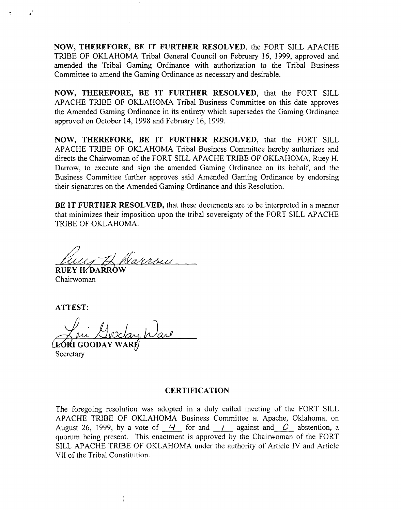NOW, THEREFORE, BE IT FURTHER RESOLVED, the FORT SILL APACHE TRIBE OF OKLAHOMA Tribal General Council on February 16, 1999, approved and amended the 'Tribal Gaming Ordinance with authorization to the Tribal Business Committee to amend the Gaming Ordinance as necessary and desirable.

NOW, THEREFORE, BE IT FURTHER RESOLVED, that the FORT SILL APACHE TRIBE OF OKLAHOMA Tribal Business Committee on this date approves the Amended Gaming Ordinance in its entirety which supersedes the Gaming Ordinance approved on October 14, 1998 and February 16,1999.

NOW, THEREFORE, BE IT FURTHER RESOLVED, that the FORT SILL APACHE TRIBE OF OKLAHOMA Tribal Business Committee hereby authorizes and directs the Chairwoman of the FORT SILL APACHE TRIBE OF OKLAHOMA, Ruey H. Darrow, to execute and sign the amended Gaming Ordinance on its behalf, and the Business Committee further approves said Amended Gaming Ordinance by endorsing their signatures on the Amended Gaming Ordinance and this Resolution.

BE IT FURTHER RESOLVED, that these documents are to be interpreted in a manner that minimizes their imposition upon the tribal sovereignty of the FORT SILL APACHE TRIBE OF OKLAHOMA.

**6fX-fA'** yg Varnou

RUEY H⁄DARROW Chairwoman

ATTEST:

**LORI GOODAY**  $\boldsymbol{\theta}$ **Secretary** 

#### CERTIFICATION

The foregoing resolution was adopted in a duly called meeting of the FORT SILL APACHE TRIBE OF OKLAHOMA Business Committee at Apache, Oklahoma, on August 26, 1999, by a vote of  $\frac{4}{10}$  for and  $\frac{1}{2}$  against and  $\frac{0}{0}$  abstention, a quorum being present. This enactment is approved by the Chairwoman of the FORT SILL APACHE TRIBE OF OKLAHOMA under the authority of Article IV and Article VII of the Tribal Constitution.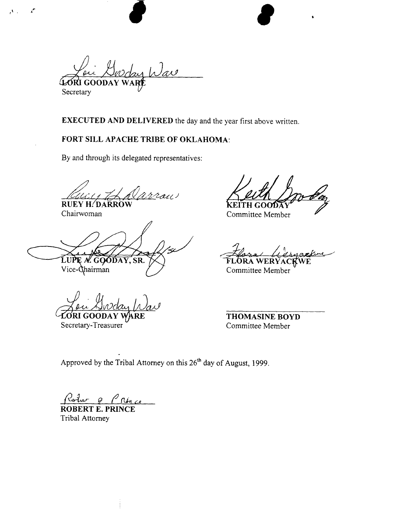Gorday Wav **LORI GOODA** Secretary

**EXECUTED AND DELIVERED** the day and the year first above written.

## **FORT** SILL **APACHE TRIBE OF OKLAHOMA:**

By and through its delegated representatives:

arrou **RUEY H. DARROW** 

GOODAY, SR.  $Vice$ - $\alpha$ hairman

**<sup>u</sup>**Secretary-Treasurer

Chairwoman Chairwoman Committee Member

Committee Member

**THOMASINE BOYD**  Committee Member

Approved by the Tribal Attorney on this **26'h** day of August, 1999.

 $\rho_{\text{char}}$   $\rho_{\text{char}}$ 

**ROBERT E. PRINCE**  Tribal Attorney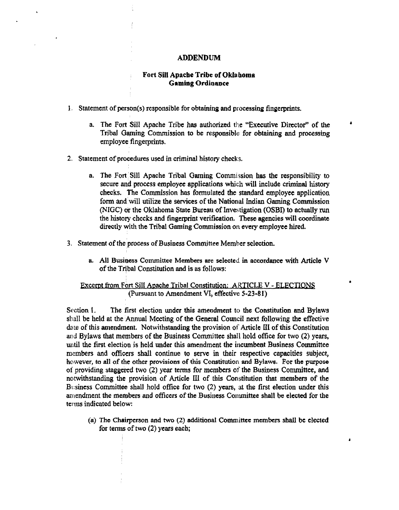#### **ADDENDUM**

#### **Fort Sill Apache Tribe of Oklahoma Gaming Ordinance**

- **1.** Statement of **person(s)** responsible for **obtaining and processing** fingerprints.
	- a. The Fort Sill Apache Tribe has authorized the "Executive Director" of the **Tribal** Gaming Commission to be responsible for obtaining and processing employee fingerprints.
- 2. Statement of procedures used in criminal history checks.
	- **a. The Foxt :Sill Apache Tribal Gaming** Commission **has** the responsibility to secure **and** process employee applications which will include **criminal** history checks. The Commission **has** formulated **the** standard employee application form **andwill** utilize the **services** of **the** National Indian Gaming Commission **(NIGC)** or the Oklahoma **State Burcall** of Investigation **(OSBI)** to **nctmlly** run the history checks and fingerprint verification. **These** agencies will coordinate directly with the Tribal Gaming Commission on every employee hired.
- 3. Statement of the process of Business Committee Member selection.
	- **a. All Business Committee Members** are selected in accordance with Article V of the Tribal Constitution **and** is **as** follows:

#### **Excernt from Fort Sill Apache Tribal Constitution: ARTICLE V - ELECTIONS (Pursuant** to Amendment **VK, effective 5-23-8 1)**

**Section 1. The** first election under this amendment to the Constitution and Bylaws shall be held at the Annual Meeting of the General Council next following the effective date of this amendment. Notwithstanding the provision of Article III of this Constitution **and** Bylaws that members of the **Business** Committee shall hold office for two (2) years, until the first election is held under this amendment the incumbent Business Committee members and officers shall continue to serve in their respective capacities subject, however, to all of the other provisions of this Constitution and Bylaws. For the purpose of providing staggered two (2) **year** tens for **members** of the **Business** Conunittee, and notwithstanding the provision of Article **U** of **this** Constitution that **metnbem of** the Business Committee shall hold office for two (2) years, at the first election under this amendment the members and officers of the Business Committee shall be elected for the terms indicated below:

**(a)** Tho Chairperson and two (2) **additional. Committee members shall** be elected for **terms** of two (2) years each;

 $\bullet$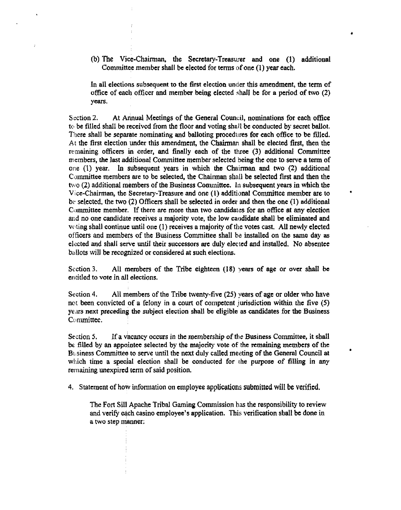(b) The Vice-Chairman, the Secretary-Treasurer and one (I) additional Committee member shall **be** elected for terms of one **(1) year each.** 

In all elections subsequent to the first election **under** this amendment, the term of office of each officer and member being elected shall be for a period of two (2) years.

Scction 2. At Annual Meetings of the General Council, nominations for each office to be filled shall be reccivcd from the floor and voting **shall** be conducted by secret ballot. There shall be separate nominating and balloting procedures for each office to be filled. **At** the first election under this amendment, the Chairman shall be elected first, then the remaining officers in order, and **frnally** each **of** the three (3) additional Committee **members,** the last additional Committee member selected being the one to serve a term of **one** (I) year. In subsequelit years in which the Chairman and two (2) additional Committee members are to be selected, the Chairman shall be selected first and then the two (2) additional members of the Business Conullittee. In subsequent **years** in which **the**  Vice-Chairman, the Secretary-Treasure and one (1) additional Committee member are to be selected, the two (2) Officers shall be selected in order and then the one (1) additional Committee member. If there are more than two **candidates** for **an** ofice at **any** election **arid** no one catldidate receives a majority vote, the low candidate shall be eliminated and **voting** shall continue until one (1) receives a majority of the votes cast. **All** newly elected officers **and** members of the Business Committee shall be installed on **the same** day as elected and shall serve until their successors are duly elected and installed. No absentee ballots will be recognized or considered at such elections.

Scction 3. All members of the Tribe eighteen (18) **vears** of age or over shall **ba**  entitled to vote in all elections.

Section 4. All members of the Tribe twenty-five (25) years of age or older who have not been convicted of a felony in a court of competent jurisdiction within the five (5) **ye'us** next preceding **the** subject election shall be eligible as candidates for **the** Business Conunittee.

Section **5.** If a **vacancy** occurs in the membership **of** the Business Committee, it shall **bk** filled by an appointee selected by the majority vote of the **remaining** members of the **Buiness** Committee to serve until the **next** duly called meeting of the General Council at **<sup>b</sup> which** time a **special** election shall be conducted for **the** purpose of filling in **any**  remaining unexpired term of said position.

4. Statement of how infomation on employee applications **submitted will be verified.** 

The Fort Sill Apache Tribal Gaming Commission has the responsibility to review and verify each casino employee's application. This verification sball be done in a two step manner: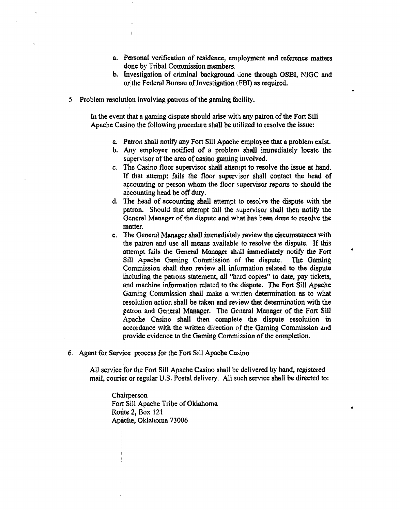- a. Personal verification of residence, employment and reference matters done by Tribal Commission members.
- b. Investigation of criminal background done through **OSBI, NJOC md**  or tlie Federal Bureau **of** investigation **(FBI)** as required.
- 5 Problem resolution involving patrons of the gaming facility.

In the event that a gaming dispute should arise with any patron of the Fon Sill Apache Casino the following procedure shall be utilized to resolve the issue:

- a. Patron shall notify any Fort Sill **Apache** employee that a problem **exist.**
- b. Any employee notified of **n** problem shall immediately looate the supervisor of the area of **casino** gaming involved.
- c. **The** Casino floor supervisor shall attempt to **resolve** the issue at **hand,**  IF that attempt fails the floor supervisor shall contact the head of accounting or person whom the floor supervisor reports to should the accounting head be off **duty.**
- d. The head of accounting sldl attempt to resolve the dispute with **the**  patron. Should that attempt fail the supervisor shall then notify the **General** Manager of the dispute and what **hos** been done to resolve the matter.
- **e.** The General Manager shall immediately review **the** circumstances with the patron and use all means available to resolve the dispute. If this attempt fails the General Manager shall immediately notify the Fort Sill Apache Gaming Commission of **the** dispute. The Gaming Commission shall then review all information related to the dispute ihcluding the patrons **statement,** all **"hard** copies" to **date,** pay tickets, **and** machine infomation related to the dispute. **The** Fort Sill Apache **Gaming** Commission shall **make** a written determination as to **what**  resolution action shall be **taken** and review that determination with the patron and General Managcr. The General **Managcr** of the Fort Sill Apache Casino shall then complete the dispute resolution in accordance with the written direction of the **Gaming** Commission and provide evidence to the **Gaming** Commission of **the** completion.
- 6. Agent for Service process for the Fort Sill Apache Casino

**AU** service for thc Fort Sill **Apache** Casino shall **be** delivered by hand, registered mail, couricr or regular **U.S.** Postal delivery. All such service shall be directed to:

Chairperson. **Fort** Sill **Apache Tribe** of **Oklahoma**  Route 2, Box 121 Apache, Oklahoma 73006